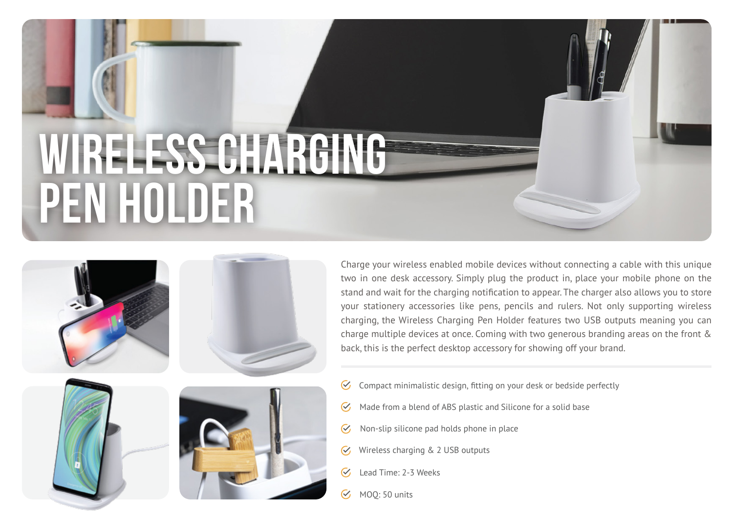# **Wireless Charging PEN HOLDER**









Charge your wireless enabled mobile devices without connecting a cable with this unique two in one desk accessory. Simply plug the product in, place your mobile phone on the stand and wait for the charging notification to appear. The charger also allows you to store your stationery accessories like pens, pencils and rulers. Not only supporting wireless charging, the Wireless Charging Pen Holder features two USB outputs meaning you can charge multiple devices at once. Coming with two generous branding areas on the front & back, this is the perfect desktop accessory for showing off your brand.

- Compact minimalistic design, fitting on your desk or bedside perfectly  $\sigma$
- Made from a blend of ABS plastic and Silicone for a solid base  $\heartsuit$
- Non-slip silicone pad holds phone in place  $\mathcal{C}$
- Wireless charging & 2 USB outputs  $\mathcal{C}$
- $\overline{\mathcal{C}}$ Lead Time: 2-3 Weeks
- MOQ: 50 units  $\mathcal{C}$